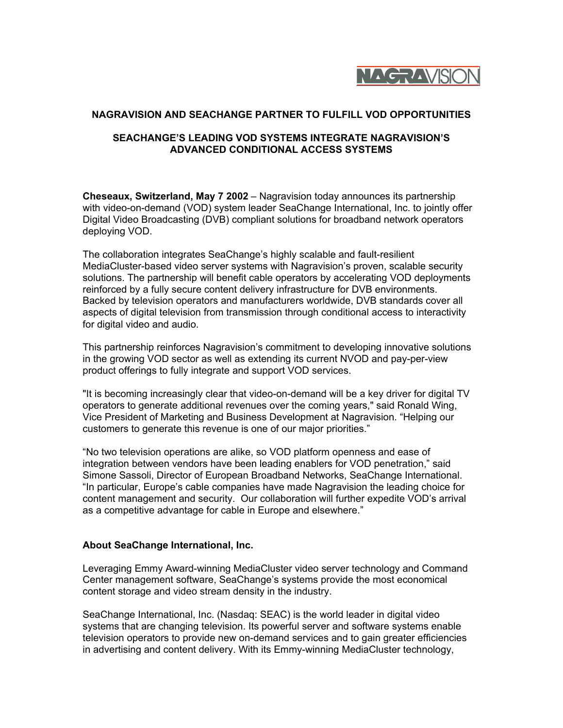

## **NAGRAVISION AND SEACHANGE PARTNER TO FULFILL VOD OPPORTUNITIES**

## **SEACHANGE'S LEADING VOD SYSTEMS INTEGRATE NAGRAVISION'S ADVANCED CONDITIONAL ACCESS SYSTEMS**

**Cheseaux, Switzerland, May 7 2002** – Nagravision today announces its partnership with video-on-demand (VOD) system leader SeaChange International, Inc. to jointly offer Digital Video Broadcasting (DVB) compliant solutions for broadband network operators deploying VOD.

The collaboration integrates SeaChange's highly scalable and fault-resilient MediaCluster-based video server systems with Nagravision's proven, scalable security solutions. The partnership will benefit cable operators by accelerating VOD deployments reinforced by a fully secure content delivery infrastructure for DVB environments. Backed by television operators and manufacturers worldwide, DVB standards cover all aspects of digital television from transmission through conditional access to interactivity for digital video and audio.

This partnership reinforces Nagravision's commitment to developing innovative solutions in the growing VOD sector as well as extending its current NVOD and pay-per-view product offerings to fully integrate and support VOD services.

"It is becoming increasingly clear that video-on-demand will be a key driver for digital TV operators to generate additional revenues over the coming years," said Ronald Wing, Vice President of Marketing and Business Development at Nagravision. "Helping our customers to generate this revenue is one of our major priorities."

"No two television operations are alike, so VOD platform openness and ease of integration between vendors have been leading enablers for VOD penetration," said Simone Sassoli, Director of European Broadband Networks, SeaChange International. "In particular, Europe's cable companies have made Nagravision the leading choice for content management and security. Our collaboration will further expedite VOD's arrival as a competitive advantage for cable in Europe and elsewhere."

## **About SeaChange International, Inc.**

Leveraging Emmy Award-winning MediaCluster video server technology and Command Center management software, SeaChange's systems provide the most economical content storage and video stream density in the industry.

SeaChange International, Inc. (Nasdaq: SEAC) is the world leader in digital video systems that are changing television. Its powerful server and software systems enable television operators to provide new on-demand services and to gain greater efficiencies in advertising and content delivery. With its Emmy-winning MediaCluster technology,